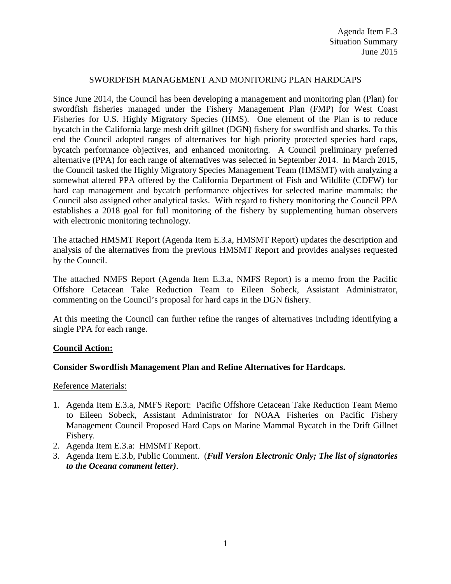## SWORDFISH MANAGEMENT AND MONITORING PLAN HARDCAPS

Since June 2014, the Council has been developing a management and monitoring plan (Plan) for swordfish fisheries managed under the Fishery Management Plan (FMP) for West Coast Fisheries for U.S. Highly Migratory Species (HMS). One element of the Plan is to reduce bycatch in the California large mesh drift gillnet (DGN) fishery for swordfish and sharks. To this end the Council adopted ranges of alternatives for high priority protected species hard caps, bycatch performance objectives, and enhanced monitoring. A Council preliminary preferred alternative (PPA) for each range of alternatives was selected in September 2014. In March 2015, the Council tasked the Highly Migratory Species Management Team (HMSMT) with analyzing a somewhat altered PPA offered by the California Department of Fish and Wildlife (CDFW) for hard cap management and bycatch performance objectives for selected marine mammals; the Council also assigned other analytical tasks. With regard to fishery monitoring the Council PPA establishes a 2018 goal for full monitoring of the fishery by supplementing human observers with electronic monitoring technology.

The attached HMSMT Report (Agenda Item E.3.a, HMSMT Report) updates the description and analysis of the alternatives from the previous HMSMT Report and provides analyses requested by the Council.

The attached NMFS Report (Agenda Item E.3.a, NMFS Report) is a memo from the Pacific Offshore Cetacean Take Reduction Team to Eileen Sobeck, Assistant Administrator, commenting on the Council's proposal for hard caps in the DGN fishery.

At this meeting the Council can further refine the ranges of alternatives including identifying a single PPA for each range.

## **Council Action:**

## **Consider Swordfish Management Plan and Refine Alternatives for Hardcaps.**

Reference Materials:

- 1. Agenda Item E.3.a, NMFS Report: Pacific Offshore Cetacean Take Reduction Team Memo to Eileen Sobeck, Assistant Administrator for NOAA Fisheries on Pacific Fishery Management Council Proposed Hard Caps on Marine Mammal Bycatch in the Drift Gillnet Fishery.
- 2. Agenda Item E.3.a: HMSMT Report.
- 3. Agenda Item E.3.b, Public Comment. (*Full Version Electronic Only; The list of signatories to the Oceana comment letter)*.